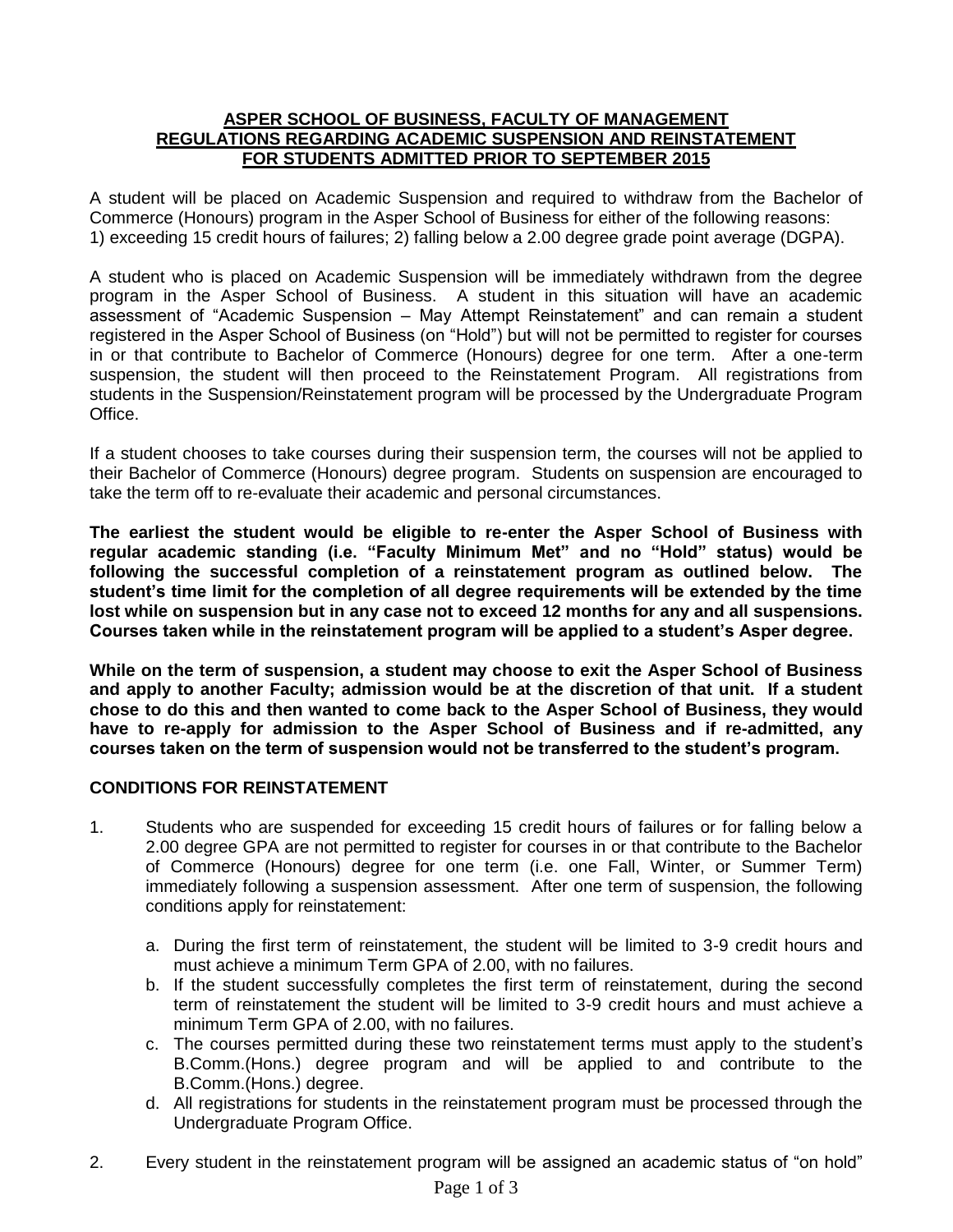## **ASPER SCHOOL OF BUSINESS, FACULTY OF MANAGEMENT REGULATIONS REGARDING ACADEMIC SUSPENSION AND REINSTATEMENT FOR STUDENTS ADMITTED PRIOR TO SEPTEMBER 2015**

A student will be placed on Academic Suspension and required to withdraw from the Bachelor of Commerce (Honours) program in the Asper School of Business for either of the following reasons: 1) exceeding 15 credit hours of failures; 2) falling below a 2.00 degree grade point average (DGPA).

A student who is placed on Academic Suspension will be immediately withdrawn from the degree program in the Asper School of Business. A student in this situation will have an academic assessment of "Academic Suspension – May Attempt Reinstatement" and can remain a student registered in the Asper School of Business (on "Hold") but will not be permitted to register for courses in or that contribute to Bachelor of Commerce (Honours) degree for one term. After a one-term suspension, the student will then proceed to the Reinstatement Program. All registrations from students in the Suspension/Reinstatement program will be processed by the Undergraduate Program Office.

If a student chooses to take courses during their suspension term, the courses will not be applied to their Bachelor of Commerce (Honours) degree program. Students on suspension are encouraged to take the term off to re-evaluate their academic and personal circumstances.

**The earliest the student would be eligible to re-enter the Asper School of Business with regular academic standing (i.e. "Faculty Minimum Met" and no "Hold" status) would be following the successful completion of a reinstatement program as outlined below. The student's time limit for the completion of all degree requirements will be extended by the time lost while on suspension but in any case not to exceed 12 months for any and all suspensions. Courses taken while in the reinstatement program will be applied to a student's Asper degree.**

**While on the term of suspension, a student may choose to exit the Asper School of Business and apply to another Faculty; admission would be at the discretion of that unit. If a student chose to do this and then wanted to come back to the Asper School of Business, they would have to re-apply for admission to the Asper School of Business and if re-admitted, any courses taken on the term of suspension would not be transferred to the student's program.**

## **CONDITIONS FOR REINSTATEMENT**

- 1. Students who are suspended for exceeding 15 credit hours of failures or for falling below a 2.00 degree GPA are not permitted to register for courses in or that contribute to the Bachelor of Commerce (Honours) degree for one term (i.e. one Fall, Winter, or Summer Term) immediately following a suspension assessment. After one term of suspension, the following conditions apply for reinstatement:
	- a. During the first term of reinstatement, the student will be limited to 3-9 credit hours and must achieve a minimum Term GPA of 2.00, with no failures.
	- b. If the student successfully completes the first term of reinstatement, during the second term of reinstatement the student will be limited to 3-9 credit hours and must achieve a minimum Term GPA of 2.00, with no failures.
	- c. The courses permitted during these two reinstatement terms must apply to the student's B.Comm.(Hons.) degree program and will be applied to and contribute to the B.Comm.(Hons.) degree.
	- d. All registrations for students in the reinstatement program must be processed through the Undergraduate Program Office.
- 2. Every student in the reinstatement program will be assigned an academic status of "on hold"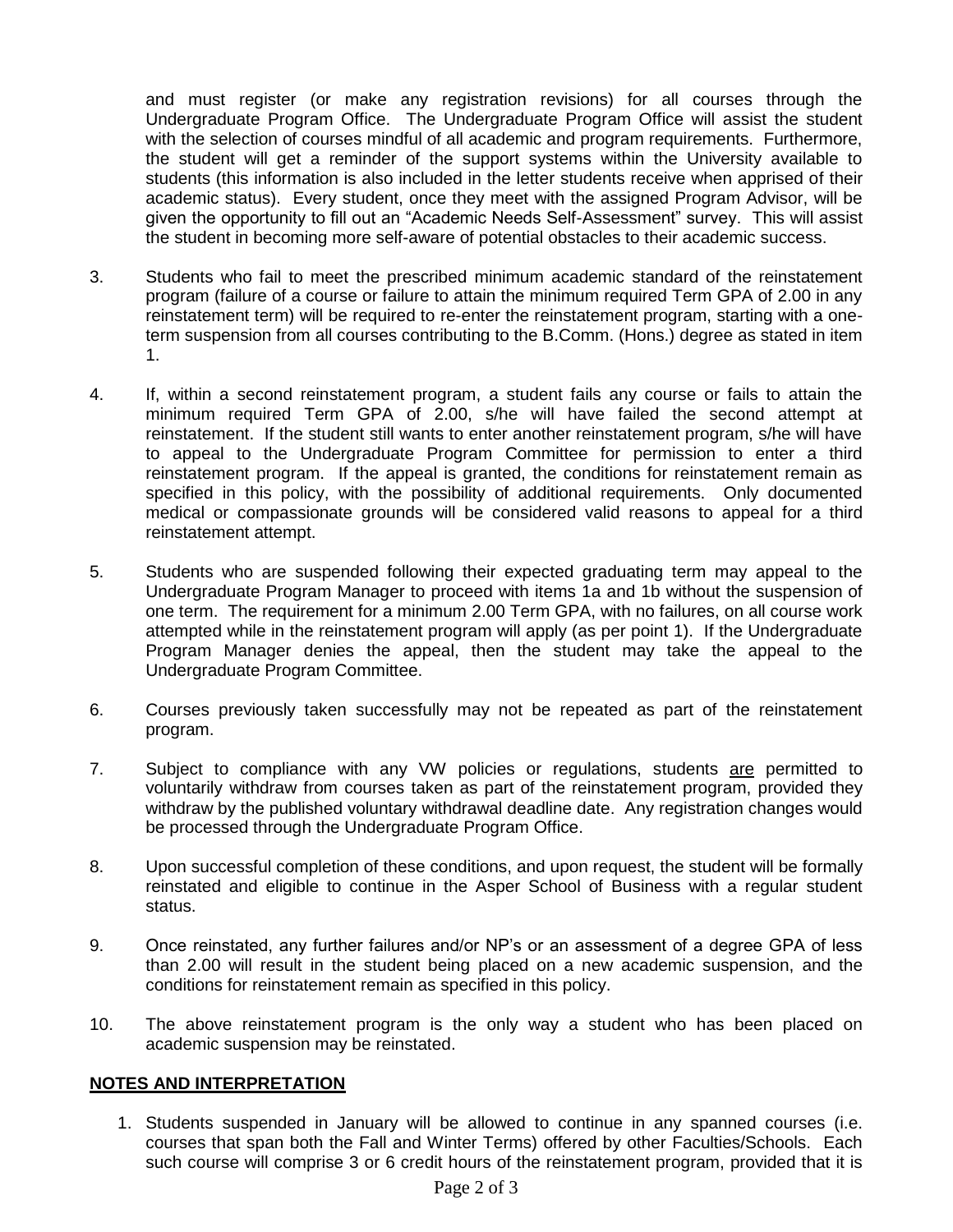and must register (or make any registration revisions) for all courses through the Undergraduate Program Office. The Undergraduate Program Office will assist the student with the selection of courses mindful of all academic and program requirements. Furthermore, the student will get a reminder of the support systems within the University available to students (this information is also included in the letter students receive when apprised of their academic status). Every student, once they meet with the assigned Program Advisor, will be given the opportunity to fill out an "Academic Needs Self-Assessment" survey. This will assist the student in becoming more self-aware of potential obstacles to their academic success.

- 3. Students who fail to meet the prescribed minimum academic standard of the reinstatement program (failure of a course or failure to attain the minimum required Term GPA of 2.00 in any reinstatement term) will be required to re-enter the reinstatement program, starting with a oneterm suspension from all courses contributing to the B.Comm. (Hons.) degree as stated in item 1.
- 4. If, within a second reinstatement program, a student fails any course or fails to attain the minimum required Term GPA of 2.00, s/he will have failed the second attempt at reinstatement. If the student still wants to enter another reinstatement program, s/he will have to appeal to the Undergraduate Program Committee for permission to enter a third reinstatement program. If the appeal is granted, the conditions for reinstatement remain as specified in this policy, with the possibility of additional requirements. Only documented medical or compassionate grounds will be considered valid reasons to appeal for a third reinstatement attempt.
- 5. Students who are suspended following their expected graduating term may appeal to the Undergraduate Program Manager to proceed with items 1a and 1b without the suspension of one term. The requirement for a minimum 2.00 Term GPA, with no failures, on all course work attempted while in the reinstatement program will apply (as per point 1). If the Undergraduate Program Manager denies the appeal, then the student may take the appeal to the Undergraduate Program Committee.
- 6. Courses previously taken successfully may not be repeated as part of the reinstatement program.
- 7. Subject to compliance with any VW policies or regulations, students are permitted to voluntarily withdraw from courses taken as part of the reinstatement program, provided they withdraw by the published voluntary withdrawal deadline date. Any registration changes would be processed through the Undergraduate Program Office.
- 8. Upon successful completion of these conditions, and upon request, the student will be formally reinstated and eligible to continue in the Asper School of Business with a regular student status.
- 9. Once reinstated, any further failures and/or NP's or an assessment of a degree GPA of less than 2.00 will result in the student being placed on a new academic suspension, and the conditions for reinstatement remain as specified in this policy.
- 10. The above reinstatement program is the only way a student who has been placed on academic suspension may be reinstated.

## **NOTES AND INTERPRETATION**

1. Students suspended in January will be allowed to continue in any spanned courses (i.e. courses that span both the Fall and Winter Terms) offered by other Faculties/Schools. Each such course will comprise 3 or 6 credit hours of the reinstatement program, provided that it is